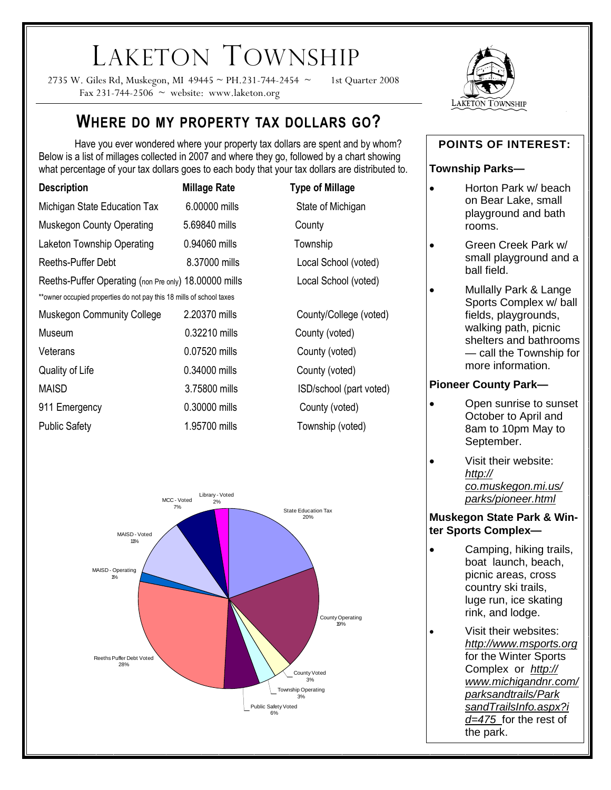# LAKETON TOWNSHIP

2735 W. Giles Rd, Muskegon, MI 49445 ~ PH.231-744-2454 ~ Fax 231-744-2506  $\sim$  website: www.laketon.org

# **WHERE DO MY PROPERTY TAX DOLLARS GO?**

Have you ever wondered where your property tax dollars are spent and by whom? Below is a list of millages collected in 2007 and where they go, followed by a chart showing what percentage of your tax dollars goes to each body that your tax dollars are distributed to.

| <b>Description</b>                                                   | <b>Millage Rate</b> | <b>Type of Millage</b>  |
|----------------------------------------------------------------------|---------------------|-------------------------|
| Michigan State Education Tax                                         | 6.00000 mills       | State of Michigan       |
| <b>Muskegon County Operating</b>                                     | 5.69840 mills       | County                  |
| Laketon Township Operating                                           | 0.94060 mills       | Township                |
| Reeths-Puffer Debt                                                   | 8.37000 mills       | Local School (voted)    |
| Reeths-Puffer Operating (non Pre only) 18.00000 mills                |                     | Local School (voted)    |
| **owner occupied properties do not pay this 18 mills of school taxes |                     |                         |
| <b>Muskegon Community College</b>                                    | 2.20370 mills       | County/College (voted)  |
| Museum                                                               | 0.32210 mills       | County (voted)          |
| Veterans                                                             | 0.07520 mills       | County (voted)          |
| Quality of Life                                                      | 0.34000 mills       | County (voted)          |
| <b>MAISD</b>                                                         | 3.75800 mills       | ISD/school (part voted) |
| 911 Emergency                                                        | 0.30000 mills       | County (voted)          |
| <b>Public Safety</b>                                                 | 1.95700 mills       | Township (voted)        |
|                                                                      |                     |                         |

| <b>Type of Millage</b>  |  |
|-------------------------|--|
| State of Michigan       |  |
| County                  |  |
| Township                |  |
| Local School (voted)    |  |
| Local School (voted)    |  |
|                         |  |
| County/College (voted)  |  |
| County (voted)          |  |
| County (voted)          |  |
| County (voted)          |  |
| ISD/school (part voted) |  |
| County (voted)          |  |
| Township (voted)        |  |

1st Quarter 2008





## **POINTS OF INTEREST:**

## **Township Parks—**

- Horton Park w/ beach on Bear Lake, small playground and bath rooms.
- Green Creek Park w/ small playground and a ball field.
- Mullally Park & Lange Sports Complex w/ ball fields, playgrounds, walking path, picnic shelters and bathrooms — call the Township for more information.

## **Pioneer County Park—**

- Open sunrise to sunset October to April and 8am to 10pm May to September.
- Visit their website: *http:// co.muskegon.mi.us/ parks/pioneer.html*

### **Muskegon State Park & Winter Sports Complex—**

- Camping, hiking trails, boat launch, beach, picnic areas, cross country ski trails, luge run, ice skating rink, and lodge.
	- Visit their websites: *http://www.msports.org* for the Winter Sports Complex or *http:// www.michigandnr.com/ parksandtrails/Park sandTrailsInfo.aspx?i d=475* for the rest of the park.